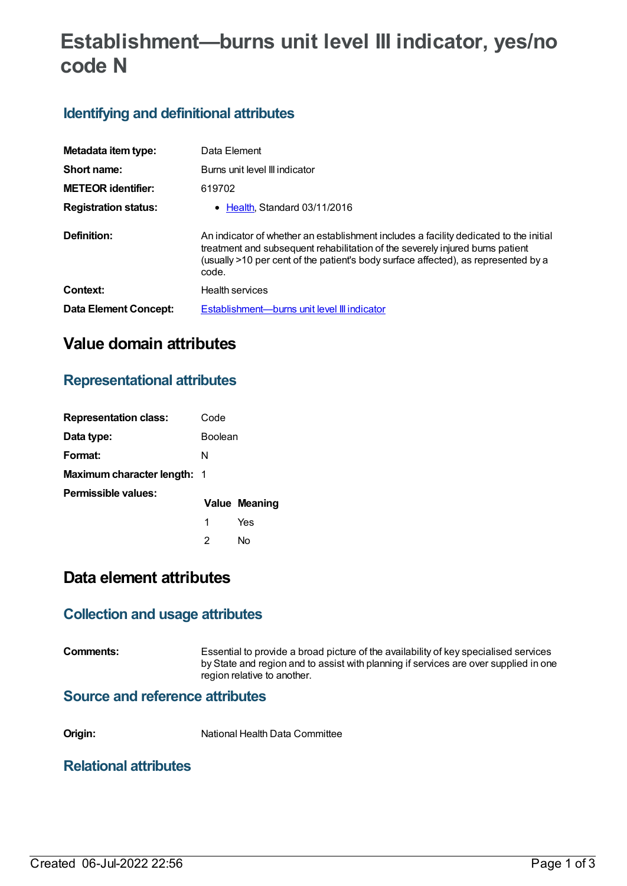# **Establishment—burns unit level III indicator, yes/no code N**

# **Identifying and definitional attributes**

| Metadata item type:         | Data Element                                                                                                                                                                                                                                                          |
|-----------------------------|-----------------------------------------------------------------------------------------------------------------------------------------------------------------------------------------------------------------------------------------------------------------------|
| Short name:                 | Burns unit level III indicator                                                                                                                                                                                                                                        |
| <b>METEOR identifier:</b>   | 619702                                                                                                                                                                                                                                                                |
| <b>Registration status:</b> | • Health, Standard 03/11/2016                                                                                                                                                                                                                                         |
| Definition:                 | An indicator of whether an establishment includes a facility dedicated to the initial<br>treatment and subsequent rehabilitation of the severely injured burns patient<br>(usually >10 per cent of the patient's body surface affected), as represented by a<br>code. |
| Context:                    | <b>Health services</b>                                                                                                                                                                                                                                                |
| Data Element Concept:       | Establishment—burns unit level III indicator                                                                                                                                                                                                                          |

# **Value domain attributes**

## **Representational attributes**

| <b>Representation class:</b>       | Code    |               |
|------------------------------------|---------|---------------|
| Data type:                         | Boolean |               |
| Format:                            | N       |               |
| <b>Maximum character length: 1</b> |         |               |
| Permissible values:                |         | Value Meaning |
|                                    | 1       | Yes           |
|                                    | 2       | N٥            |

# **Data element attributes**

### **Collection and usage attributes**

**Comments:** Essential to provide a broad picture of the availability of key specialised services by State and region and to assist with planning if services are over supplied in one region relative to another.

#### **Source and reference attributes**

**Origin:** National Health Data Committee

### **Relational attributes**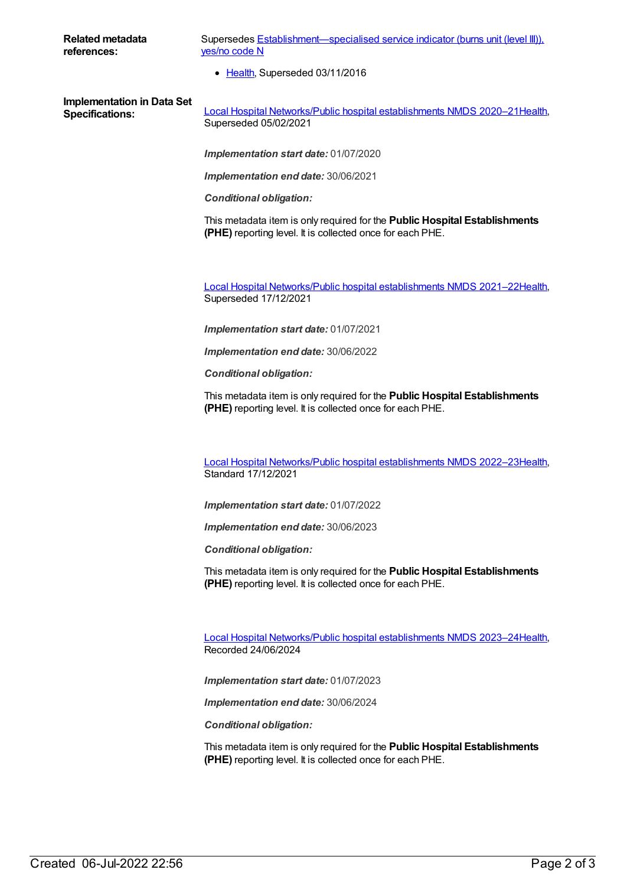**Related metadata references:**

Supersedes **[Establishment—specialised](https://meteor.aihw.gov.au/content/270438) service indicator (burns unit (level III))**, yes/no code N

• [Health](https://meteor.aihw.gov.au/RegistrationAuthority/12), Superseded 03/11/2016

**Implementation in Data Set**

**Specifications:** Local Hospital [Networks/Public](https://meteor.aihw.gov.au/content/713848) hospital establishments NMDS 2020–21[Health](https://meteor.aihw.gov.au/RegistrationAuthority/12), Superseded 05/02/2021

*Implementation start date:* 01/07/2020

*Implementation end date:* 30/06/2021

*Conditional obligation:*

This metadata item is only required for the **Public Hospital Establishments (PHE)** reporting level. It is collected once for each PHE.

Local Hospital [Networks/Public](https://meteor.aihw.gov.au/content/727356) hospital establishments NMDS 2021–22[Health](https://meteor.aihw.gov.au/RegistrationAuthority/12), Superseded 17/12/2021

*Implementation start date:* 01/07/2021

*Implementation end date:* 30/06/2022

*Conditional obligation:*

This metadata item is only required for the **Public Hospital Establishments (PHE)** reporting level. It is collected once for each PHE.

Local Hospital [Networks/Public](https://meteor.aihw.gov.au/content/742044) hospital establishments NMDS 2022–23[Health](https://meteor.aihw.gov.au/RegistrationAuthority/12), Standard 17/12/2021

*Implementation start date:* 01/07/2022

*Implementation end date:* 30/06/2023

*Conditional obligation:*

This metadata item is only required for the **Public Hospital Establishments (PHE)** reporting level. It is collected once for each PHE.

Local Hospital [Networks/Public](https://meteor.aihw.gov.au/content/756101) hospital establishments NMDS 2023–24[Health](https://meteor.aihw.gov.au/RegistrationAuthority/12), Recorded 24/06/2024

*Implementation start date:* 01/07/2023

*Implementation end date:* 30/06/2024

*Conditional obligation:*

This metadata item is only required for the **Public Hospital Establishments (PHE)** reporting level. It is collected once for each PHE.